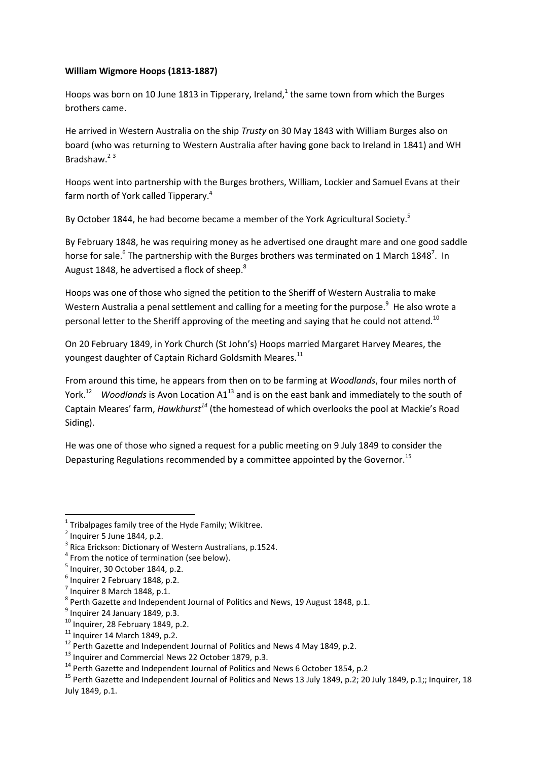## **William Wigmore Hoops (1813-1887)**

Hoops was born on 10 June 1813 in Tipperary, Ireland, $<sup>1</sup>$  the same town from which the Burges</sup> brothers came.

He arrived in Western Australia on the ship *Trusty* on 30 May 1843 with William Burges also on board (who was returning to Western Australia after having gone back to Ireland in 1841) and WH Bradshaw. 2 3

Hoops went into partnership with the Burges brothers, William, Lockier and Samuel Evans at their farm north of York called Tipperary.<sup>4</sup>

By October 1844, he had become became a member of the York Agricultural Society.<sup>5</sup>

By February 1848, he was requiring money as he advertised one draught mare and one good saddle horse for sale.<sup>6</sup> The partnership with the Burges brothers was terminated on 1 March 1848<sup>7</sup>. In August 1848, he advertised a flock of sheep.<sup>8</sup>

Hoops was one of those who signed the petition to the Sheriff of Western Australia to make Western Australia a penal settlement and calling for a meeting for the purpose.<sup>9</sup> He also wrote a personal letter to the Sheriff approving of the meeting and saying that he could not attend.<sup>10</sup>

On 20 February 1849, in York Church (St John's) Hoops married Margaret Harvey Meares, the youngest daughter of Captain Richard Goldsmith Meares.<sup>11</sup>

From around this time, he appears from then on to be farming at *Woodlands*, four miles north of York.<sup>12</sup> Woodlands is Avon Location A1<sup>13</sup> and is on the east bank and immediately to the south of Captain Meares' farm, *Hawkhurst<sup>14</sup>* (the homestead of which overlooks the pool at Mackie's Road Siding).

He was one of those who signed a request for a public meeting on 9 July 1849 to consider the Depasturing Regulations recommended by a committee appointed by the Governor.<sup>15</sup>

1

 $1$  Tribalpages family tree of the Hyde Family; Wikitree.

 $2$  Inquirer 5 June 1844, p.2.

<sup>&</sup>lt;sup>3</sup> Rica Erickson: Dictionary of Western Australians, p.1524.

<sup>&</sup>lt;sup>4</sup> From the notice of termination (see below).

<sup>5</sup> Inquirer, 30 October 1844, p.2.

<sup>6</sup> Inquirer 2 February 1848, p.2.

 $<sup>7</sup>$  Inquirer 8 March 1848, p.1.</sup>

 $^8$  Perth Gazette and Independent Journal of Politics and News, 19 August 1848, p.1.

 $<sup>9</sup>$  Inquirer 24 January 1849, p.3.</sup>

 $10$  Inquirer, 28 February 1849, p.2.

 $11$  Inquirer 14 March 1849, p.2.

 $12$  Perth Gazette and Independent Journal of Politics and News 4 May 1849, p.2.

<sup>&</sup>lt;sup>13</sup> Inquirer and Commercial News 22 October 1879, p.3.

<sup>&</sup>lt;sup>14</sup> Perth Gazette and Independent Journal of Politics and News 6 October 1854, p.2

<sup>&</sup>lt;sup>15</sup> Perth Gazette and Independent Journal of Politics and News 13 July 1849, p.2; 20 July 1849, p.1;; Inquirer, 18 July 1849, p.1.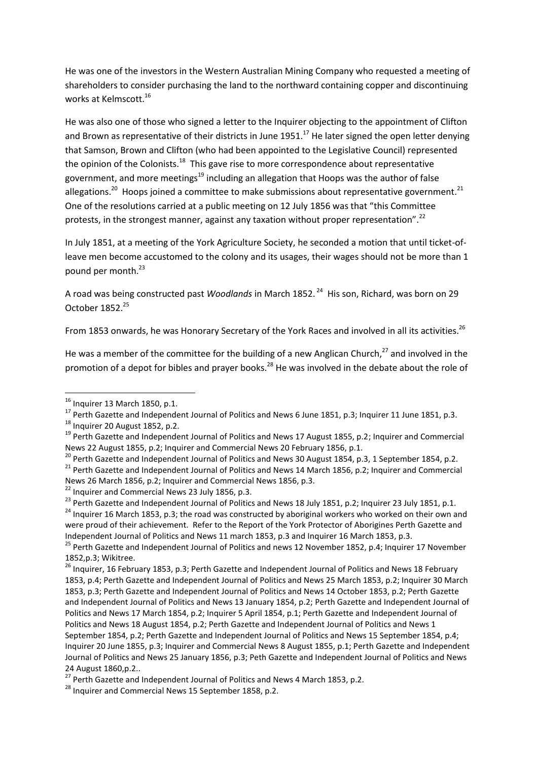He was one of the investors in the Western Australian Mining Company who requested a meeting of shareholders to consider purchasing the land to the northward containing copper and discontinuing works at Kelmscott.<sup>16</sup>

He was also one of those who signed a letter to the Inquirer objecting to the appointment of Clifton and Brown as representative of their districts in June 1951.<sup>17</sup> He later signed the open letter denying that Samson, Brown and Clifton (who had been appointed to the Legislative Council) represented the opinion of the Colonists.<sup>18</sup> This gave rise to more correspondence about representative government, and more meetings<sup>19</sup> including an allegation that Hoops was the author of false allegations.<sup>20</sup> Hoops joined a committee to make submissions about representative government.<sup>21</sup> One of the resolutions carried at a public meeting on 12 July 1856 was that "this Committee protests, in the strongest manner, against any taxation without proper representation".<sup>22</sup>

In July 1851, at a meeting of the York Agriculture Society, he seconded a motion that until ticket-ofleave men become accustomed to the colony and its usages, their wages should not be more than 1 pound per month.<sup>23</sup>

A road was being constructed past *Woodlands* in March 1852.<sup>24</sup> His son, Richard, was born on 29 October 1852.<sup>25</sup>

From 1853 onwards, he was Honorary Secretary of the York Races and involved in all its activities.<sup>26</sup>

He was a member of the committee for the building of a new Anglican Church, $^{27}$  and involved in the promotion of a depot for bibles and prayer books.<sup>28</sup> He was involved in the debate about the role of

**.** 

 $16$  Inquirer 13 March 1850, p.1.

<sup>&</sup>lt;sup>17</sup> Perth Gazette and Independent Journal of Politics and News 6 June 1851, p.3; Inquirer 11 June 1851, p.3.

 $18$  Inquirer 20 August 1852, p.2.

<sup>&</sup>lt;sup>19</sup> Perth Gazette and Independent Journal of Politics and News 17 August 1855, p.2; Inquirer and Commercial News 22 August 1855, p.2; Inquirer and Commercial News 20 February 1856, p.1.

<sup>&</sup>lt;sup>20</sup> Perth Gazette and Independent Journal of Politics and News 30 August 1854, p.3, 1 September 1854, p.2.

<sup>&</sup>lt;sup>21</sup> Perth Gazette and Independent Journal of Politics and News 14 March 1856, p.2; Inquirer and Commercial News 26 March 1856, p.2; Inquirer and Commercial News 1856, p.3.

<sup>&</sup>lt;sup>22</sup> Inquirer and Commercial News 23 July 1856, p.3.

<sup>&</sup>lt;sup>23</sup> Perth Gazette and Independent Journal of Politics and News 18 July 1851, p.2; Inquirer 23 July 1851, p.1. <sup>24</sup> Inquirer 16 March 1853, p.3; the road was constructed by aboriginal workers who worked on their own and were proud of their achievement. Refer to the Report of the York Protector of Aborigines Perth Gazette and Independent Journal of Politics and News 11 march 1853, p.3 and Inquirer 16 March 1853, p.3.

<sup>&</sup>lt;sup>25</sup> Perth Gazette and Independent Journal of Politics and news 12 November 1852, p.4; Inquirer 17 November 1852,p.3; Wikitree.

<sup>&</sup>lt;sup>26</sup> Inquirer, 16 February 1853, p.3; Perth Gazette and Independent Journal of Politics and News 18 February 1853, p.4; Perth Gazette and Independent Journal of Politics and News 25 March 1853, p.2; Inquirer 30 March 1853, p.3; Perth Gazette and Independent Journal of Politics and News 14 October 1853, p.2; Perth Gazette and Independent Journal of Politics and News 13 January 1854, p.2; Perth Gazette and Independent Journal of Politics and News 17 March 1854, p.2; Inquirer 5 April 1854, p.1; Perth Gazette and Independent Journal of Politics and News 18 August 1854, p.2; Perth Gazette and Independent Journal of Politics and News 1 September 1854, p.2; Perth Gazette and Independent Journal of Politics and News 15 September 1854, p.4; Inquirer 20 June 1855, p.3; Inquirer and Commercial News 8 August 1855, p.1; Perth Gazette and Independent Journal of Politics and News 25 January 1856, p.3; Peth Gazette and Independent Journal of Politics and News 24 August 1860,p.2..

<sup>&</sup>lt;sup>27</sup> Perth Gazette and Independent Journal of Politics and News 4 March 1853, p.2.

<sup>&</sup>lt;sup>28</sup> Inquirer and Commercial News 15 September 1858, p.2.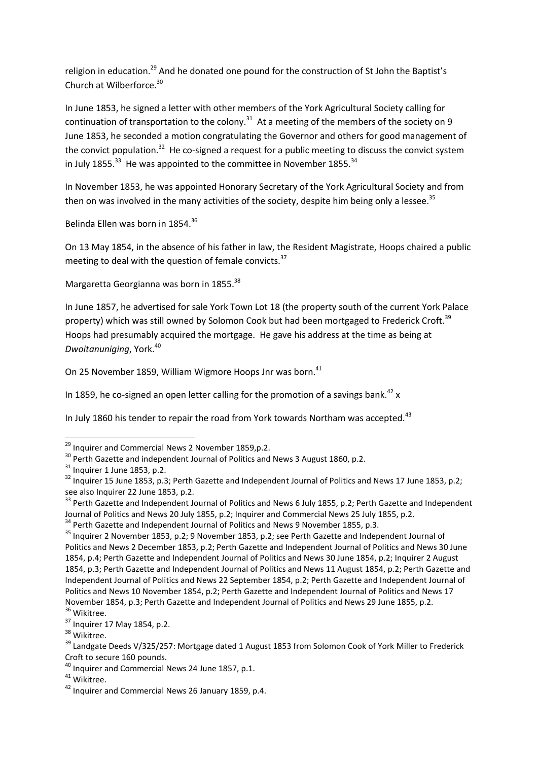religion in education.<sup>29</sup> And he donated one pound for the construction of St John the Baptist's Church at Wilberforce.<sup>30</sup>

In June 1853, he signed a letter with other members of the York Agricultural Society calling for continuation of transportation to the colony.<sup>31</sup> At a meeting of the members of the society on 9 June 1853, he seconded a motion congratulating the Governor and others for good management of the convict population.<sup>32</sup> He co-signed a request for a public meeting to discuss the convict system in July 1855. $^{33}$  He was appointed to the committee in November 1855. $^{34}$ 

In November 1853, he was appointed Honorary Secretary of the York Agricultural Society and from then on was involved in the many activities of the society, despite him being only a lessee.<sup>35</sup>

Belinda Ellen was born in 1854.<sup>36</sup>

On 13 May 1854, in the absence of his father in law, the Resident Magistrate, Hoops chaired a public meeting to deal with the question of female convicts. $37$ 

Margaretta Georgianna was born in 1855.<sup>38</sup>

In June 1857, he advertised for sale York Town Lot 18 (the property south of the current York Palace property) which was still owned by Solomon Cook but had been mortgaged to Frederick Croft.<sup>39</sup> Hoops had presumably acquired the mortgage. He gave his address at the time as being at *Dwoitanuniging*, York.<sup>40</sup>

On 25 November 1859, William Wigmore Hoops Jnr was born.<sup>41</sup>

In 1859, he co-signed an open letter calling for the promotion of a savings bank.<sup>42</sup> x

In July 1860 his tender to repair the road from York towards Northam was accepted. $43$ 

1

<sup>&</sup>lt;sup>29</sup> Inquirer and Commercial News 2 November 1859,p.2.

 $30$  Perth Gazette and independent Journal of Politics and News 3 August 1860, p.2.

 $31$  Inquirer 1 June 1853, p.2.

 $32$  Inquirer 15 June 1853, p.3; Perth Gazette and Independent Journal of Politics and News 17 June 1853, p.2; see also Inquirer 22 June 1853, p.2.

<sup>&</sup>lt;sup>33</sup> Perth Gazette and Independent Journal of Politics and News 6 July 1855, p.2; Perth Gazette and Independent Journal of Politics and News 20 July 1855, p.2; Inquirer and Commercial News 25 July 1855, p.2.

<sup>&</sup>lt;sup>34</sup> Perth Gazette and Independent Journal of Politics and News 9 November 1855, p.3.

<sup>&</sup>lt;sup>35</sup> Inquirer 2 November 1853, p.2; 9 November 1853, p.2; see Perth Gazette and Independent Journal of Politics and News 2 December 1853, p.2; Perth Gazette and Independent Journal of Politics and News 30 June 1854, p.4; Perth Gazette and Independent Journal of Politics and News 30 June 1854, p.2; Inquirer 2 August 1854, p.3; Perth Gazette and Independent Journal of Politics and News 11 August 1854, p.2; Perth Gazette and Independent Journal of Politics and News 22 September 1854, p.2; Perth Gazette and Independent Journal of Politics and News 10 November 1854, p.2; Perth Gazette and Independent Journal of Politics and News 17 November 1854, p.3; Perth Gazette and Independent Journal of Politics and News 29 June 1855, p.2. <sup>36</sup> Wikitree.

<sup>37</sup> Inquirer 17 May 1854, p.2.

<sup>&</sup>lt;sup>38</sup> Wikitree.

<sup>&</sup>lt;sup>39</sup> Landgate Deeds V/325/257: Mortgage dated 1 August 1853 from Solomon Cook of York Miller to Frederick Croft to secure 160 pounds.

 $40$  Inquirer and Commercial News 24 June 1857, p.1.

<sup>41</sup> Wikitree.

<sup>42</sup> Inquirer and Commercial News 26 January 1859, p.4.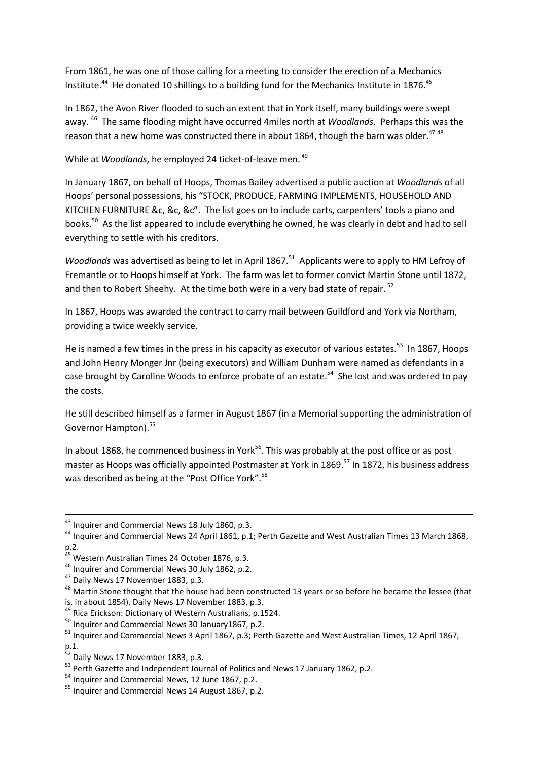From 1861, he was one of those calling for a meeting to consider the erection of a Mechanics Institute.<sup>44</sup> He donated 10 shillings to a building fund for the Mechanics Institute in 1876.<sup>45</sup>

In 1862, the Avon River flooded to such an extent that in York itself, many buildings were swept away.<sup>46</sup> The same flooding might have occurred 4miles north at *Woodlands*. Perhaps this was the reason that a new home was constructed there in about 1864, though the barn was older.<sup>47 48</sup>

While at *Woodlands*, he employed 24 ticket-of-leave men. <sup>49</sup>

In January 1867, on behalf of Hoops, Thomas Bailey advertised a public auction at *Woodlands* of all Hoops' personal possessions, his "STOCK, PRODUCE, FARMING IMPLEMENTS, HOUSEHOLD AND KITCHEN FURNITURE &c, &c, &c". The list goes on to include carts, carpenters' tools a piano and books.<sup>50</sup> As the list appeared to include everything he owned, he was clearly in debt and had to sell everything to settle with his creditors.

Woodlands was advertised as being to let in April 1867.<sup>51</sup> Applicants were to apply to HM Lefroy of Fremantle or to Hoops himself at York. The farm was let to former convict Martin Stone until 1872, and then to Robert Sheehy. At the time both were in a very bad state of repair.  $52$ 

In 1867, Hoops was awarded the contract to carry mail between Guildford and York via Northam, providing a twice weekly service.

He is named a few times in the press in his capacity as executor of various estates.<sup>53</sup> In 1867, Hoops and John Henry Monger Jnr (being executors) and William Dunham were named as defendants in a case brought by Caroline Woods to enforce probate of an estate.<sup>54</sup> She lost and was ordered to pay the costs.

He still described himself as a farmer in August 1867 (in a Memorial supporting the administration of Governor Hampton). 55

In about 1868, he commenced business in York<sup>56</sup>. This was probably at the post office or as post master as Hoops was officially appointed Postmaster at York in 1869.<sup>57</sup> In 1872, his business address was described as being at the "Post Office York".<sup>58</sup>

1

 $^{43}$  Inquirer and Commercial News 18 July 1860, p.3.

<sup>44</sup> Inquirer and Commercial News 24 April 1861, p.1; Perth Gazette and West Australian Times 13 March 1868, p.2.

<sup>&</sup>lt;sup>45</sup> Western Australian Times 24 October 1876, p.3.

<sup>46</sup> Inquirer and Commercial News 30 July 1862, p.2.

<sup>&</sup>lt;sup>47</sup> Daily News 17 November 1883, p.3.

<sup>&</sup>lt;sup>48</sup> Martin Stone thought that the house had been constructed 13 years or so before he became the lessee (that is, in about 1854). Daily News 17 November 1883, p.3.

<sup>&</sup>lt;sup>49</sup> Rica Erickson: Dictionary of Western Australians, p.1524.

<sup>&</sup>lt;sup>50</sup> Inquirer and Commercial News 30 January1867, p.2.

<sup>51</sup> Inquirer and Commercial News 3 April 1867, p.3; Perth Gazette and West Australian Times, 12 April 1867, p.1.

<sup>&</sup>lt;sup>52</sup> Daily News 17 November 1883, p.3.

<sup>&</sup>lt;sup>53</sup> Perth Gazette and Independent Journal of Politics and News 17 January 1862, p.2.

<sup>&</sup>lt;sup>54</sup> Inquirer and Commercial News, 12 June 1867, p.2.

<sup>&</sup>lt;sup>55</sup> Inquirer and Commercial News 14 August 1867, p.2.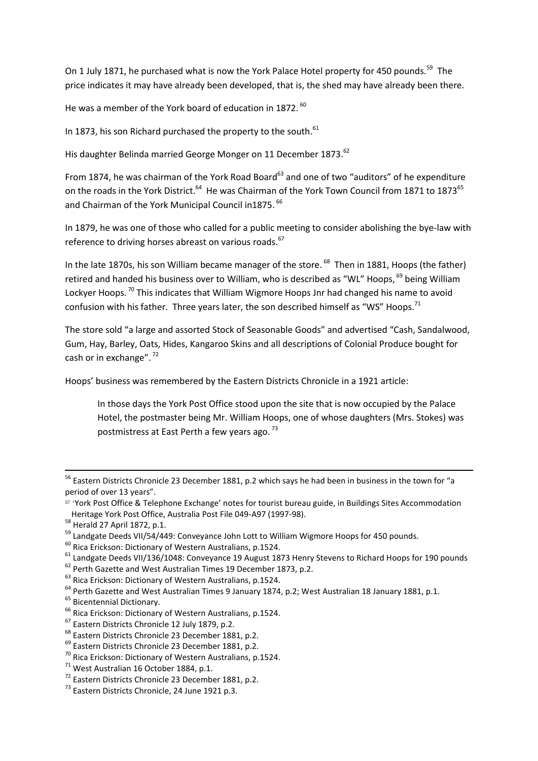On 1 July 1871, he purchased what is now the York Palace Hotel property for 450 pounds.<sup>59</sup> The price indicates it may have already been developed, that is, the shed may have already been there.

He was a member of the York board of education in 1872. <sup>60</sup>

In 1873, his son Richard purchased the property to the south. $61$ 

His daughter Belinda married George Monger on 11 December 1873.<sup>62</sup>

From 1874, he was chairman of the York Road Board<sup>63</sup> and one of two "auditors" of he expenditure on the roads in the York District.<sup>64</sup> He was Chairman of the York Town Council from 1871 to 1873<sup>65</sup> and Chairman of the York Municipal Council in1875.<sup>66</sup>

In 1879, he was one of those who called for a public meeting to consider abolishing the bye-law with reference to driving horses abreast on various roads.<sup>67</sup>

In the late 1870s, his son William became manager of the store. <sup>68</sup> Then in 1881, Hoops (the father) retired and handed his business over to William, who is described as "WL" Hoops, <sup>69</sup> being William Lockyer Hoops.<sup>70</sup> This indicates that William Wigmore Hoops Jnr had changed his name to avoid confusion with his father. Three years later, the son described himself as "WS" Hoops.<sup>71</sup>

The store sold "a large and assorted Stock of Seasonable Goods" and advertised "Cash, Sandalwood, Gum, Hay, Barley, Oats, Hides, Kangaroo Skins and all descriptions of Colonial Produce bought for cash or in exchange".<sup>72</sup>

Hoops' business was remembered by the Eastern Districts Chronicle in a 1921 article:

In those days the York Post Office stood upon the site that is now occupied by the Palace Hotel, the postmaster being Mr. William Hoops, one of whose daughters (Mrs. Stokes) was postmistress at East Perth a few years ago. <sup>73</sup>

**.** 

 $56$  Eastern Districts Chronicle 23 December 1881, p.2 which says he had been in business in the town for "a period of over 13 years".

<sup>57</sup> 'York Post Office & Telephone Exchange' notes for tourist bureau guide, in Buildings Sites Accommodation Heritage York Post Office, Australia Post File 049-A97 (1997-98).

<sup>58</sup> Herald 27 April 1872, p.1.

<sup>&</sup>lt;sup>59</sup> Landgate Deeds VII/54/449: Conveyance John Lott to William Wigmore Hoops for 450 pounds.

<sup>&</sup>lt;sup>60</sup> Rica Erickson: Dictionary of Western Australians, p.1524.

<sup>&</sup>lt;sup>61</sup> Landgate Deeds VII/136/1048: Conveyance 19 August 1873 Henry Stevens to Richard Hoops for 190 pounds

<sup>&</sup>lt;sup>62</sup> Perth Gazette and West Australian Times 19 December 1873, p.2.

<sup>&</sup>lt;sup>63</sup> Rica Erickson: Dictionary of Western Australians, p.1524.

<sup>&</sup>lt;sup>64</sup> Perth Gazette and West Australian Times 9 January 1874, p.2; West Australian 18 January 1881, p.1.

<sup>&</sup>lt;sup>65</sup> Bicentennial Dictionary.

<sup>&</sup>lt;sup>66</sup> Rica Erickson: Dictionary of Western Australians, p.1524.

<sup>&</sup>lt;sup>67</sup> Eastern Districts Chronicle 12 July 1879, p.2.

<sup>68</sup> Eastern Districts Chronicle 23 December 1881, p.2.

<sup>69</sup> Eastern Districts Chronicle 23 December 1881, p.2.

<sup>&</sup>lt;sup>70</sup> Rica Erickson: Dictionary of Western Australians, p.1524.

 $71$  West Australian 16 October 1884, p.1.

<sup>72</sup> Eastern Districts Chronicle 23 December 1881, p.2.

<sup>73</sup> Eastern Districts Chronicle, 24 June 1921 p.3.